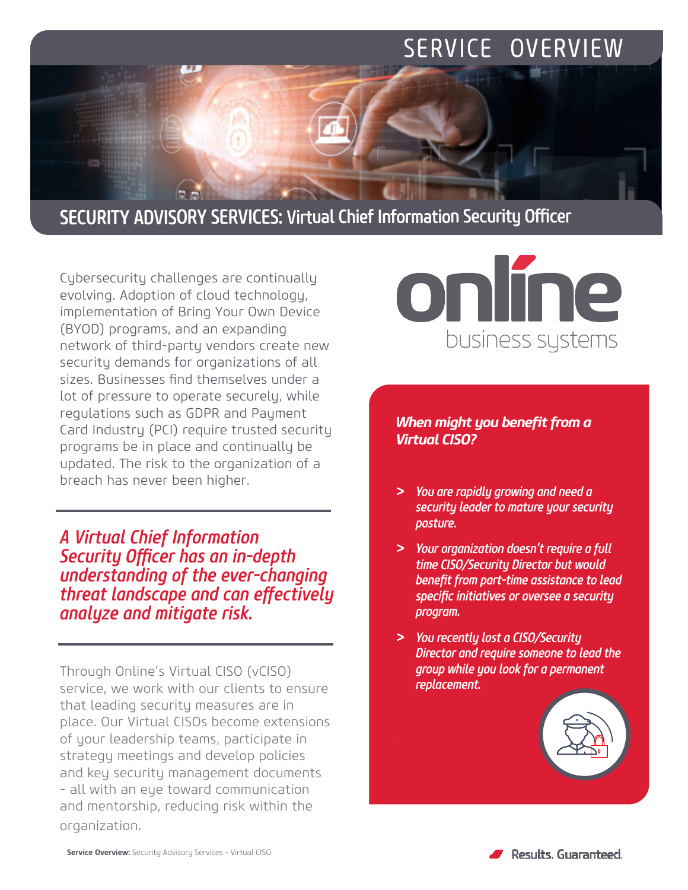# SERVICE OVERVIEW

## SECURITY ADVISORY SERVICES: Virtual Chief Information Security Officer

Cybersecurity challenges are continually evolving. Adoption of cloud technology, implementation of Bring Your Own Device (BYOD) programs, and an expanding network of third-party vendors create new security demands for organizations of all sizes. Businesses find themselves under a lot of pressure to operate securely, while regulations such as GDPR and Payment Card Industry (PCI) require trusted security programs be in place and continually be updated. The risk to the organization of a breach has never been higher.

le al

*A Virtual Chief Information Security Officer has an in-depth understanding of the ever-changing threat landscape and can effectively analyze and mitigate risk.*

Through Online's Virtual CISO (vCISO) service, we work with our clients to ensure that leading security measures are in place. Our Virtual CISOs become extensions of your leadership teams, participate in strategy meetings and develop policies and key security management documents - all with an eye toward communication and mentorship, reducing risk within the organization.



### *When might you benefit from a Virtual CISO?*

- *> You are rapidly growing and need a security leader to mature your security posture.*
- *> Your organization doesn't require a full time CISO/Security Director but would benefit from part-time assistance to lead specific initiatives or oversee a security program.*
- *> You recently lost a CISO/Security Director and require someone to lead the group while you look for a permanent replacement.*